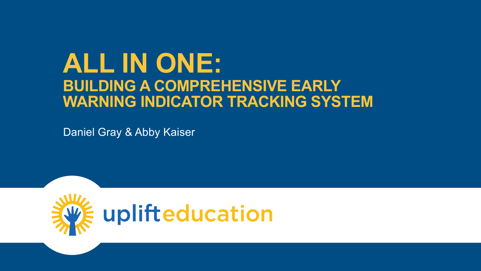## **ALL IN ONE: BUILDING A COMPREHENSIVE EARLY WARNING INDICATOR TRACKING SYSTEM**

Daniel Gray & Abby Kaiser

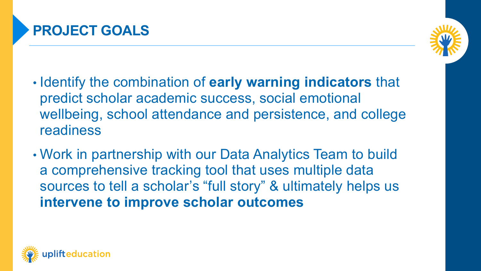

- Identify the combination of **early warning indicators** that predict scholar academic success, social emotional wellbeing, school attendance and persistence, and college readiness
- Work in partnership with our Data Analytics Team to build a comprehensive tracking tool that uses multiple data sources to tell a scholar's "full story" & ultimately helps us **intervene to improve scholar outcomes**

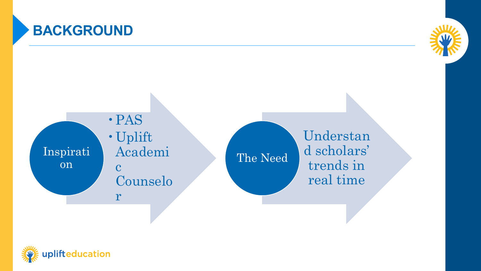

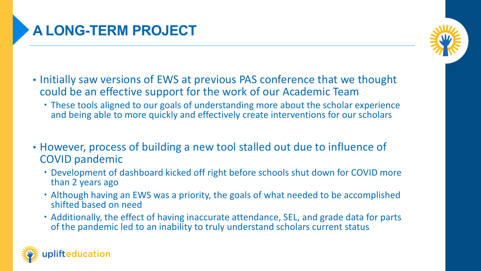## **A LONG-TERM PROJECT**

- Initially saw versions of EWS at previous PAS conference that we thought could be an effective support for the work of our Academic Team
	- These tools aligned to our goals of understanding more about the scholar experience and being able to more quickly and effectively create interventions for our scholars
- However, process of building a new tool stalled out due to influence of COVID pandemic
	- Development of dashboard kicked off right before schools shut down for COVID more than 2 years ago
	- Although having an EWS was a priority, the goals of what needed to be accomplished shifted based on need
	- Additionally, the effect of having inaccurate attendance, SEL, and grade data for parts of the pandemic led to an inability to truly understand scholars current status

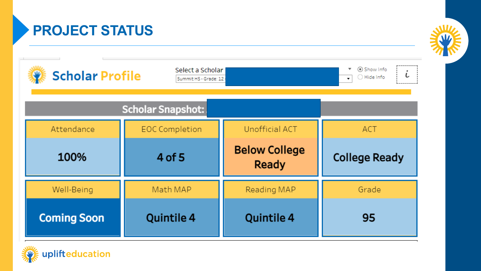**PROJECT STATUS**

| ⊙ Show Info<br>Select a Scholar<br>٠<br><b>Scholar Profile</b><br>L<br>◯ Hide Info<br>Summit HS - Grade: 12 -<br>$\blacktriangledown$ |                       |                                      |                      |  |  |  |  |  |  |
|---------------------------------------------------------------------------------------------------------------------------------------|-----------------------|--------------------------------------|----------------------|--|--|--|--|--|--|
| <b>Scholar Snapshot:</b>                                                                                                              |                       |                                      |                      |  |  |  |  |  |  |
| Attendance                                                                                                                            | <b>EOC Completion</b> | <b>Unofficial ACT</b>                | <b>ACT</b>           |  |  |  |  |  |  |
| 100%                                                                                                                                  | 4 of 5                | <b>Below College</b><br><b>Ready</b> | <b>College Ready</b> |  |  |  |  |  |  |
| Well-Being                                                                                                                            | Math MAP              | Reading MAP                          | Grade                |  |  |  |  |  |  |
| <b>Coming Soon</b>                                                                                                                    | <b>Quintile 4</b>     | <b>Quintile 4</b>                    | 95                   |  |  |  |  |  |  |

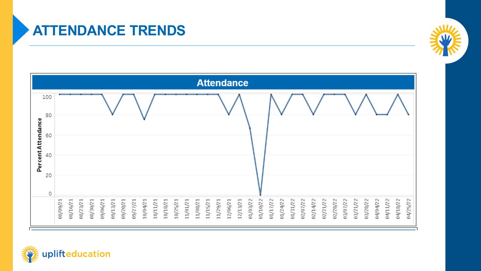### **ATTENDANCE TRENDS**





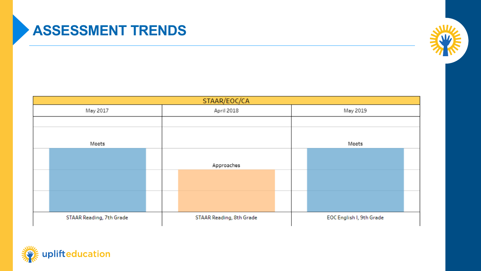## **ASSESSMENT TRENDS**



| STAAR/EOC/CA             |                          |                          |  |  |  |  |
|--------------------------|--------------------------|--------------------------|--|--|--|--|
| May 2017                 | April 2018               | May 2019                 |  |  |  |  |
|                          |                          |                          |  |  |  |  |
|                          |                          |                          |  |  |  |  |
| Meets                    |                          | Meets                    |  |  |  |  |
|                          |                          |                          |  |  |  |  |
|                          | Approaches               |                          |  |  |  |  |
|                          |                          |                          |  |  |  |  |
|                          |                          |                          |  |  |  |  |
|                          |                          |                          |  |  |  |  |
|                          |                          |                          |  |  |  |  |
| STAAR Reading, 7th Grade | STAAR Reading, 8th Grade | EOC English I, 9th Grade |  |  |  |  |

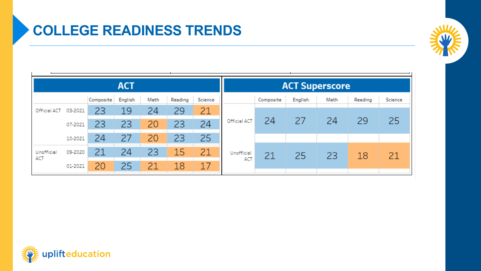## **COLLEGE READINESS TRENDS**



| <b>ACT</b>        |         |           |         |      |         | <b>ACT Superscore</b> |                   |           |         |      |         |         |
|-------------------|---------|-----------|---------|------|---------|-----------------------|-------------------|-----------|---------|------|---------|---------|
|                   |         | Composite | English | Math | Reading | Science               |                   | Composite | English | Math | Reading | Science |
| Official ACT      | 03-2021 | 23        | 19      | 24   | 29      | 21                    | Official ACT      | 24        | 27      | 24   | 29      | 25      |
|                   | 07-2021 | 23        | 23      | 20   | 23      | 24                    |                   |           |         |      |         |         |
|                   | 10-2021 | 24        | 27      | 20   | 23      | 25                    |                   |           |         |      |         |         |
| Unofficial<br>ACT | 09-2020 | 21        | 24      | 23   | 15      | 21                    | Unofficial<br>ACT | 21        | 25      | 23   | 18      | 21      |
|                   | 01-2021 | 20        | 25      | 21   | 18      | 17                    |                   |           |         |      |         |         |

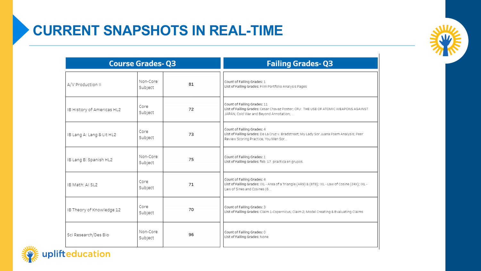

| <b>Course Grades-Q3</b>    |                     |    | <b>Failing Grades-Q3</b>                                                                                                                                      |  |  |
|----------------------------|---------------------|----|---------------------------------------------------------------------------------------------------------------------------------------------------------------|--|--|
| A/V Production II          | Non-Core<br>Subject | 81 | Count of Failing Grades: 1<br>List of Failing Grades: Film Portfolio Analysis Pages                                                                           |  |  |
| IB History of Americas HL2 | Core<br>Subject     | 72 | Count of Failing Grades: 11<br>List of Failing Grades: Cesar Chavaz Poster; CFU: THE USE OF ATOMIC WEAPONS AGAINST<br>JAPAN; Cold War and Beyond Annotation;  |  |  |
| IB Lang A: Lang & Lit HL2  | Core<br>Subject     | 73 | Count of Failing Grades: 4<br>List of Failing Grades: De La Cruz v. Bradstreet; My Lady Sor Juana Poem Analysis; Peer<br>Review Scoring Practice; You Men Sor |  |  |
| IB Lang B: Spanish HL2     | Non-Core<br>Subject | 75 | Count of Failing Grades: 1<br>List of Failing Grades: feb. 17. practica en grupos.                                                                            |  |  |
| IB Math: AI SL2            | Core<br>Subject     | 71 | Count of Failing Grades: 4<br>List of Failing Grades: IXL - Area of a Triangle (AR9) & (8T8); IXL - Law of Cosine (24X); IXL -<br>Law of Sines and Cosines (6 |  |  |
| IB Theory of Knowledge 12  | Core<br>Subject     | 70 | Count of Failing Grades: 3<br>List of Failing Grades: Claim 1-Copernicus; Claim 2; Model Creating & Evaluating Claims                                         |  |  |
| Sci Research/Des Bio       | Non-Core<br>Subject | 96 | Count of Failing Grades: 0<br>List of Failing Grades: None                                                                                                    |  |  |

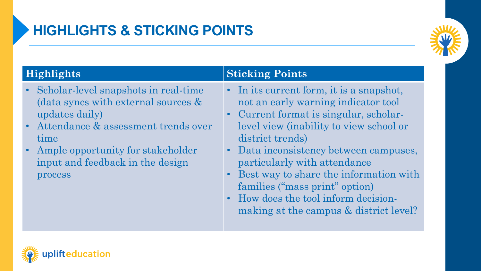

- Scholar-level snapshots in real-time (data syncs with external sources & updates daily)
- Attendance & assessment trends over time
- Ample opportunity for stakeholder input and feedback in the design process

### **Highlights Sticking Points**

- In its current form, it is a snapshot, not an early warning indicator tool
- Current format is singular, scholarlevel view (inability to view school or district trends)
- Data inconsistency between campuses, particularly with attendance
- Best way to share the information with families ("mass print" option)
- How does the tool inform decisionmaking at the campus & district level?

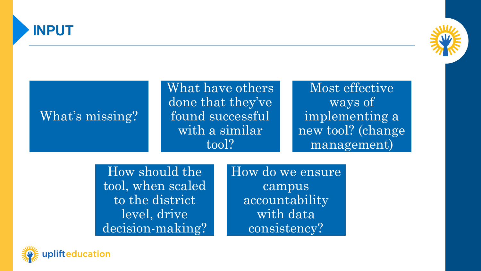



Most effective

ways of

implementing a

new tool? (change

management)

What have others done that they've found successful with a similar tool?

## What's missing?

How should the tool, when scaled to the district level, drive decision-making? How do we ensure campus accountability with data consistency?

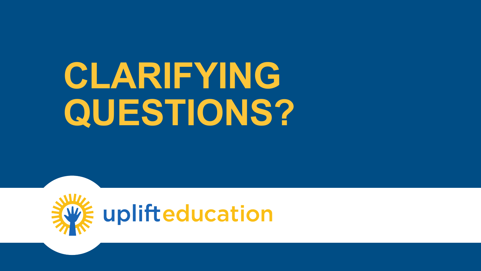# **CLARIFYING QUESTIONS?**